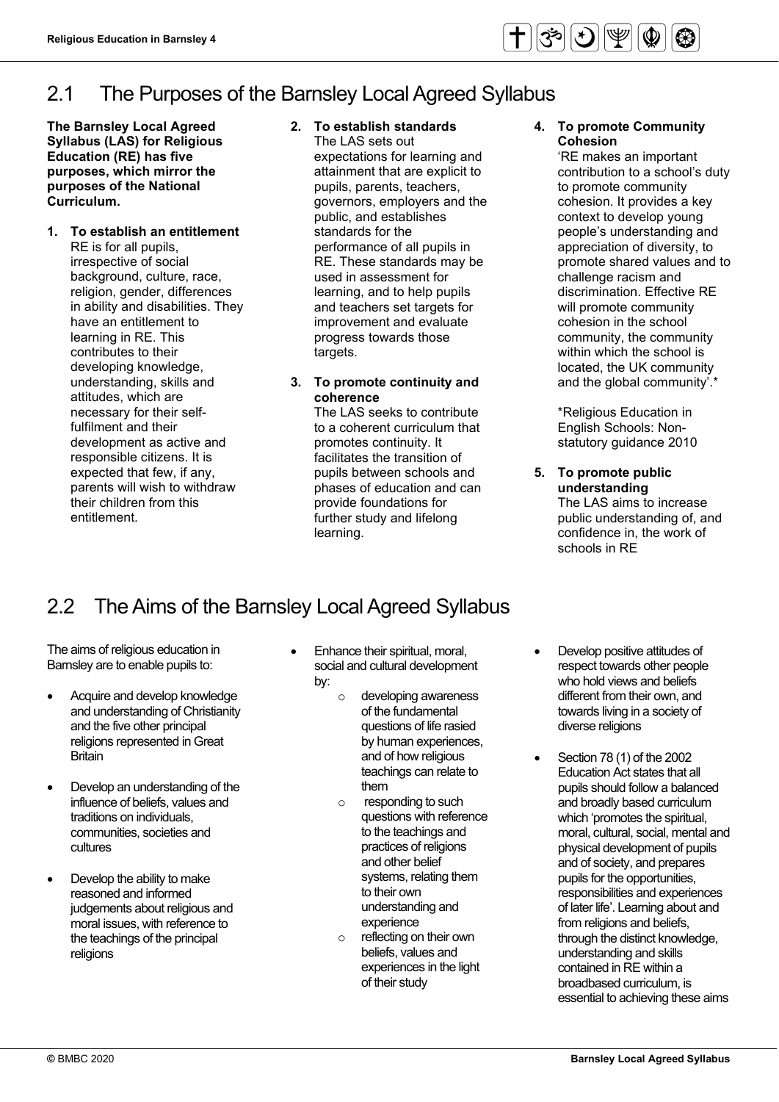# 2.1 The Purposes of the Barnsley Local Agreed Syllabus

 **The Barnsley Local Agreed Syllabus (LAS) for Religious Education (RE) has five purposes, which mirror the purposes of the National Curriculum.** 

#### **1. To establish an entitlement**  RE is for all pupils,

 development as active and responsible citizens. It is expected that few, if any, irrespective of social background, culture, race, religion, gender, differences in ability and disabilities. They have an entitlement to learning in RE. This contributes to their developing knowledge, understanding, skills and attitudes, which are necessary for their selffulfilment and their parents will wish to withdraw their children from this entitlement.

# **2. To establish standards**

The LAS sets out expectations for learning and attainment that are explicit to pupils, parents, teachers, governors, employers and the public, and establishes standards for the performance of all pupils in RE. These standards may be used in assessment for learning, and to help pupils and teachers set targets for improvement and evaluate progress towards those targets.

# **3. To promote continuity and coherence**

The LAS seeks to contribute to a coherent curriculum that promotes continuity. It facilitates the transition of pupils between schools and phases of education and can provide foundations for further study and lifelong learning.

#### **4. To promote Community Cohesion**

'RE makes an important contribution to a school's duty to promote community cohesion. It provides a key context to develop young people's understanding and appreciation of diversity, to promote shared values and to challenge racism and discrimination. Effective RE will promote community cohesion in the school community, the community within which the school is located, the UK community and the global community'.\*

\*Religious Education in English Schools: Nonstatutory guidance 2010

 confidence in, the work of **5. To promote public understanding** The LAS aims to increase public understanding of, and schools in RE

# 2.2 The Aims of the Barnsley Local Agreed Syllabus

The aims of religious education in Barnsley are to enable pupils to:

- Acquire and develop knowledge and understanding of Christianity and the five other principal religions represented in Great **Britain**
- Develop an understanding of the influence of beliefs, values and traditions on individuals, communities, societies and cultures
- Develop the ability to make reasoned and informed judgements about religious and moral issues, with reference to the teachings of the principal religions
- Enhance their spiritual, moral, social and cultural development by:
	- o developing awareness of the fundamental questions of life rasied by human experiences, and of how religious teachings can relate to them
	- o responding to such questions with reference to the teachings and practices of religions and other belief systems, relating them to their own understanding and experience
	- o reflecting on their own beliefs, values and experiences in the light of their study
- Develop positive attitudes of respect towards other people who hold views and beliefs different from their own, and towards living in a society of diverse religions
- Section 78 (1) of the 2002 Education Act states that all pupils should follow a balanced and broadly based curriculum which 'promotes the spiritual, moral, cultural, social, mental and physical development of pupils and of society, and prepares pupils for the opportunities, responsibilities and experiences of later life'. Learning about and from religions and beliefs, through the distinct knowledge, understanding and skills contained in RE within a broadbased curriculum, is essential to achieving these aims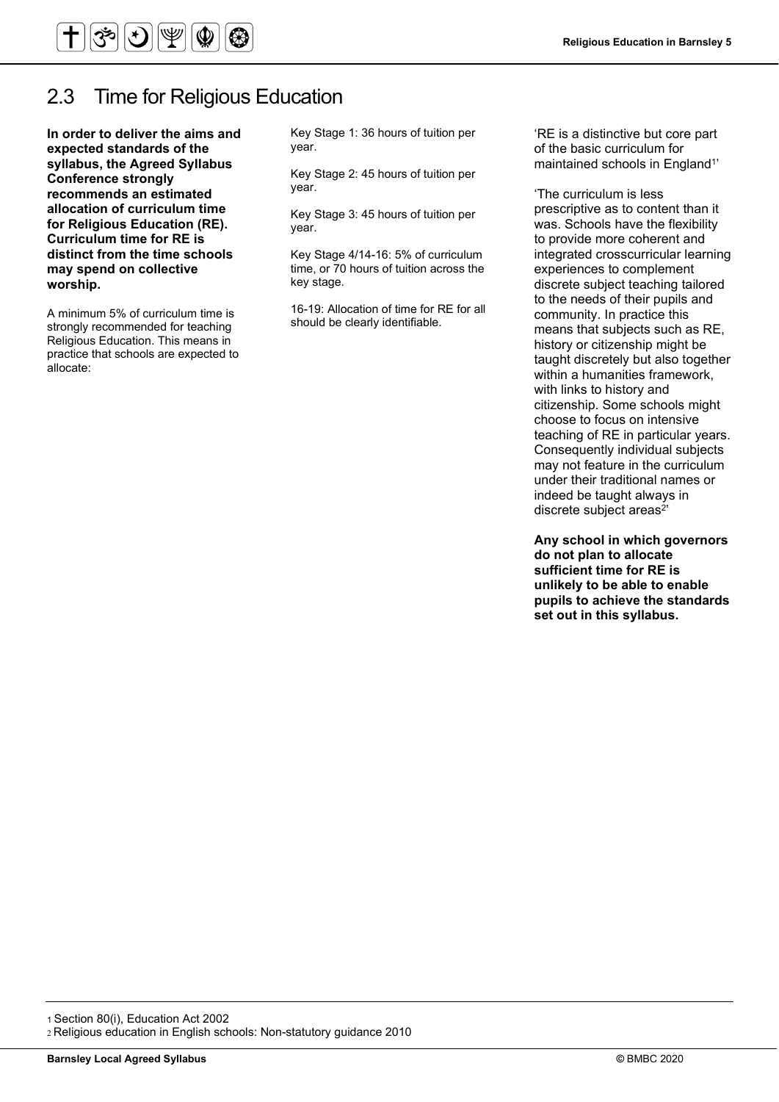

# 2.3 Time for Religious Education

 **In order to deliver the aims and recommends an estimated Curriculum time for RE is expected standards of the syllabus, the Agreed Syllabus Conference strongly allocation of curriculum time for Religious Education (RE). distinct from the time schools may spend on collective worship.** 

A minimum 5% of curriculum time is strongly recommended for teaching Religious Education. This means in practice that schools are expected to allocate:

Key Stage 1: 36 hours of tuition per year.

Key Stage 2: 45 hours of tuition per year.

Key Stage 3: 45 hours of tuition per year.

Key Stage 4/14-16: 5% of curriculum time, or 70 hours of tuition across the key stage.

16-19: Allocation of time for RE for all should be clearly identifiable.

'RE is a distinctive but core part of the basic curriculum for maintained schools in England<sup>1'</sup>

'The curriculum is less prescriptive as to content than it was. Schools have the flexibility to provide more coherent and integrated crosscurricular learning experiences to complement discrete subject teaching tailored to the needs of their pupils and community. In practice this means that subjects such as RE, history or citizenship might be taught discretely but also together within a humanities framework, with links to history and citizenship. Some schools might choose to focus on intensive teaching of RE in particular years. Consequently individual subjects may not feature in the curriculum under their traditional names or indeed be taught always in discrete subject areas<sup>2'</sup>

 **sufficient time for RE is pupils to achieve the standards Any school in which governors do not plan to allocate unlikely to be able to enable set out in this syllabus.** 

1 Section 80(i), Education Act 2002 2 Religious education in English schools: Non-statutory guidance 2010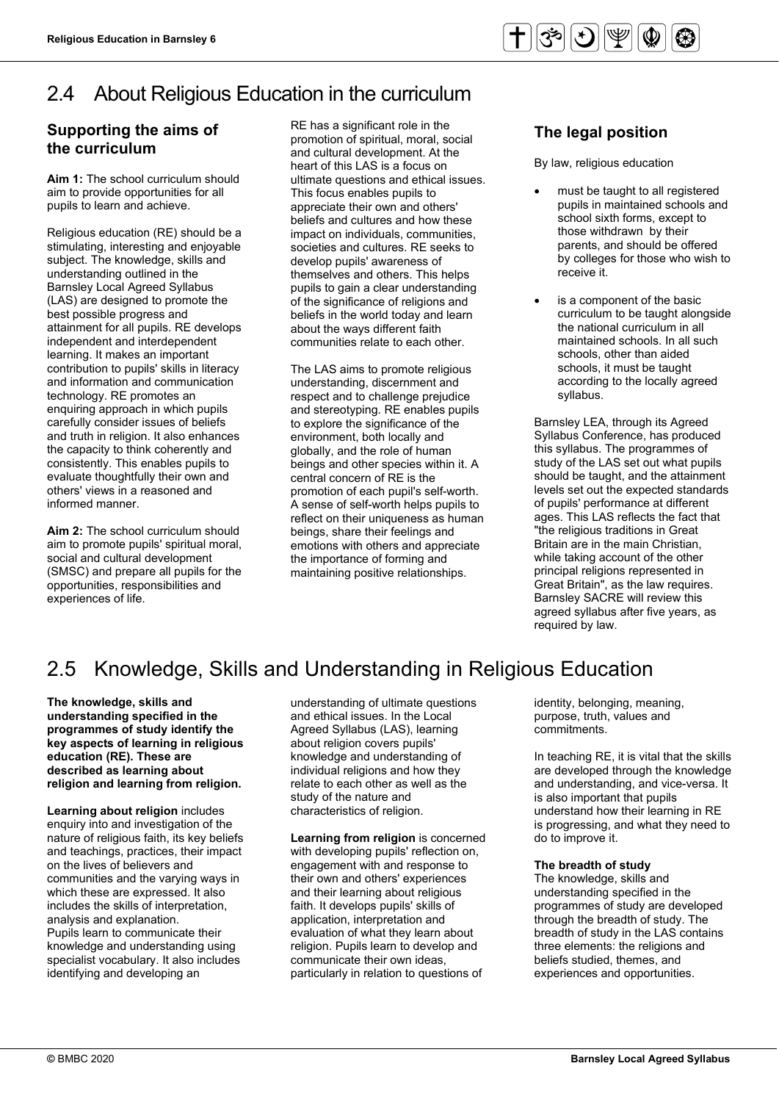#### 2.4 About Religious Education in the curriculum

# **Supporting the aims of the curriculum**

**Aim 1:** The school curriculum should aim to provide opportunities for all pupils to learn and achieve.

 subject. The knowledge, skills and consistently. This enables pupils to Religious education (RE) should be a stimulating, interesting and enjoyable understanding outlined in the Barnsley Local Agreed Syllabus (LAS) are designed to promote the best possible progress and attainment for all pupils. RE develops independent and interdependent learning. It makes an important contribution to pupils' skills in literacy and information and communication technology. RE promotes an enquiring approach in which pupils carefully consider issues of beliefs and truth in religion. It also enhances the capacity to think coherently and evaluate thoughtfully their own and others' views in a reasoned and informed manner.

**Aim 2:** The school curriculum should aim to promote pupils' spiritual moral, social and cultural development (SMSC) and prepare all pupils for the opportunities, responsibilities and experiences of life.

 promotion of spiritual, moral, social and cultural development. At the ultimate questions and ethical issues. This focus enables pupils to societies and cultures. RE seeks to RE has a significant role in the heart of this LAS is a focus on appreciate their own and others' beliefs and cultures and how these impact on individuals, communities, develop pupils' awareness of themselves and others. This helps pupils to gain a clear understanding of the significance of religions and beliefs in the world today and learn about the ways different faith communities relate to each other.

 and stereotyping. RE enables pupils reflect on their uniqueness as human emotions with others and appreciate The LAS aims to promote religious understanding, discernment and respect and to challenge prejudice to explore the significance of the environment, both locally and globally, and the role of human beings and other species within it. A central concern of RE is the promotion of each pupil's self-worth. A sense of self-worth helps pupils to beings, share their feelings and the importance of forming and maintaining positive relationships.

# **The legal position**

By law, religious education

- must be taught to all registered pupils in maintained schools and school sixth forms, except to those withdrawn by their parents, and should be offered by colleges for those who wish to receive it.
- the national curriculum in all schools, it must be taught • is a component of the basic curriculum to be taught alongside maintained schools. In all such schools, other than aided according to the locally agreed syllabus.

 study of the LAS set out what pupils Barnsley LEA, through its Agreed Syllabus Conference, has produced this syllabus. The programmes of should be taught, and the attainment levels set out the expected standards of pupils' performance at different ages. This LAS reflects the fact that "the religious traditions in Great Britain are in the main Christian, while taking account of the other principal religions represented in Great Britain", as the law requires. Barnsley SACRE will review this agreed syllabus after five years, as required by law.

# 2.5 Knowledge, Skills and Understanding in Religious Education

**The knowledge, skills and understanding specified in the programmes of study identify the key aspects of learning in religious education (RE). These are described as learning about religion and learning from religion.** 

 on the lives of believers and which these are expressed. It also **Learning about religion** includes enquiry into and investigation of the nature of religious faith, its key beliefs and teachings, practices, their impact communities and the varying ways in includes the skills of interpretation, analysis and explanation. Pupils learn to communicate their knowledge and understanding using specialist vocabulary. It also includes identifying and developing an

 individual religions and how they relate to each other as well as the understanding of ultimate questions and ethical issues. In the Local Agreed Syllabus (LAS), learning about religion covers pupils' knowledge and understanding of study of the nature and characteristics of religion.

 faith. It develops pupils' skills of communicate their own ideas, particularly in relation to questions of **Learning from religion** is concerned with developing pupils' reflection on, engagement with and response to their own and others' experiences and their learning about religious application, interpretation and evaluation of what they learn about religion. Pupils learn to develop and

identity, belonging, meaning, purpose, truth, values and commitments.

In teaching RE, it is vital that the skills are developed through the knowledge and understanding, and vice-versa. It is also important that pupils understand how their learning in RE is progressing, and what they need to do to improve it.

#### **The breadth of study**

The knowledge, skills and understanding specified in the programmes of study are developed through the breadth of study. The breadth of study in the LAS contains three elements: the religions and beliefs studied, themes, and experiences and opportunities.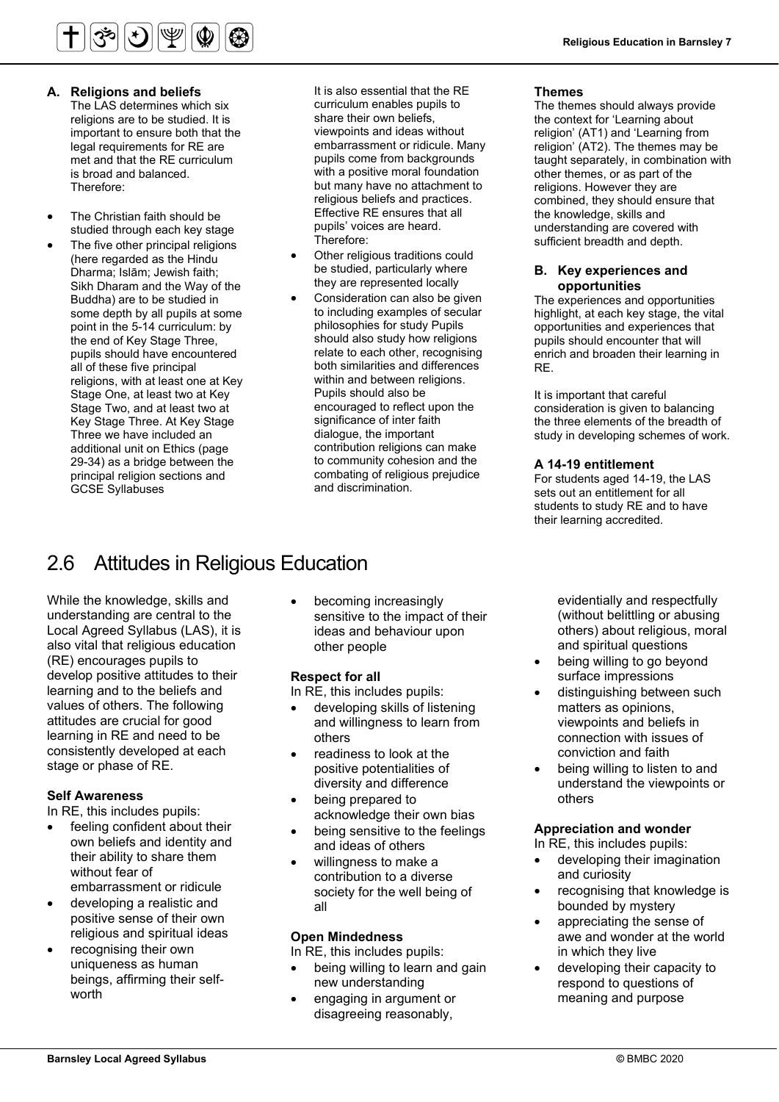The LAS determines which six

 religions are to be studied. It is met and that the RE curriculum important to ensure both that the legal requirements for RE are is broad and balanced. Therefore:

- The Christian faith should be studied through each key stage
- point in the 5-14 curriculum: by The five other principal religions (here regarded as the Hindu Dharma; Islām; Jewish faith; Sikh Dharam and the Way of the Buddha) are to be studied in some depth by all pupils at some the end of Key Stage Three, pupils should have encountered all of these five principal religions, with at least one at Key Stage One, at least two at Key Stage Two, and at least two at Key Stage Three. At Key Stage Three we have included an additional unit on Ethics (page 29-34) as a bridge between the principal religion sections and GCSE Syllabuses

 embarrassment or ridicule. Many Religious Education in Barnsley 7 **A.** Religious Education in Barnsley 7<br>**A. Religions and beliefs** it is also essential that the RE **Themes** It is also essential that the RE curriculum enables pupils to share their own beliefs, viewpoints and ideas without pupils come from backgrounds with a positive moral foundation but many have no attachment to religious beliefs and practices. Effective RE ensures that all pupils' voices are heard. Therefore:

- Other religious traditions could be studied, particularly where they are represented locally
- Consideration can also be given to including examples of secular philosophies for study Pupils should also study how religions relate to each other, recognising both similarities and differences within and between religions. Pupils should also be encouraged to reflect upon the significance of inter faith dialogue, the important contribution religions can make to community cohesion and the combating of religious prejudice and discrimination.

# 2.6 Attitudes in Religious Education

 Local Agreed Syllabus (LAS), it is While the knowledge, skills and understanding are central to the also vital that religious education (RE) encourages pupils to develop positive attitudes to their learning and to the beliefs and values of others. The following attitudes are crucial for good learning in RE and need to be consistently developed at each stage or phase of RE.

## **Self Awareness**

In RE, this includes pupils:

- feeling confident about their own beliefs and identity and their ability to share them without fear of embarrassment or ridicule
- developing a realistic and positive sense of their own religious and spiritual ideas
- recognising their own uniqueness as human beings, affirming their selfworth

• becoming increasingly sensitive to the impact of their ideas and behaviour upon other people

## **Respect for all**

In RE, this includes pupils:

- developing skills of listening and willingness to learn from others
- diversity and difference readiness to look at the positive potentialities of
- being prepared to acknowledge their own bias being sensitive to the feelings
- and ideas of others • willingness to make a
- contribution to a diverse society for the well being of all

## **Open Mindedness**

In RE, this includes pupils:

- being willing to learn and gain new understanding
- engaging in argument or disagreeing reasonably,

#### **Themes**

The themes should always provide the context for 'Learning about religion' (AT1) and 'Learning from religion' (AT2). The themes may be taught separately, in combination with other themes, or as part of the religions. However they are combined, they should ensure that the knowledge, skills and understanding are covered with sufficient breadth and depth.

#### **B. Key experiences and opportunities**

 pupils should encounter that will The experiences and opportunities highlight, at each key stage, the vital opportunities and experiences that enrich and broaden their learning in RE.

 study in developing schemes of work. It is important that careful consideration is given to balancing the three elements of the breadth of

### **A 14-19 entitlement**

For students aged 14-19, the LAS sets out an entitlement for all students to study RE and to have their learning accredited.

> evidentially and respectfully (without belittling or abusing others) about religious, moral and spiritual questions

- being willing to go beyond surface impressions
- matters as opinions, distinguishing between such viewpoints and beliefs in connection with issues of conviction and faith
- being willing to listen to and understand the viewpoints or others

## **Appreciation and wonder**

In RE, this includes pupils:

- and curiosity • developing their imagination
- recognising that knowledge is bounded by mystery
- in which they live • appreciating the sense of awe and wonder at the world
- developing their capacity to respond to questions of meaning and purpose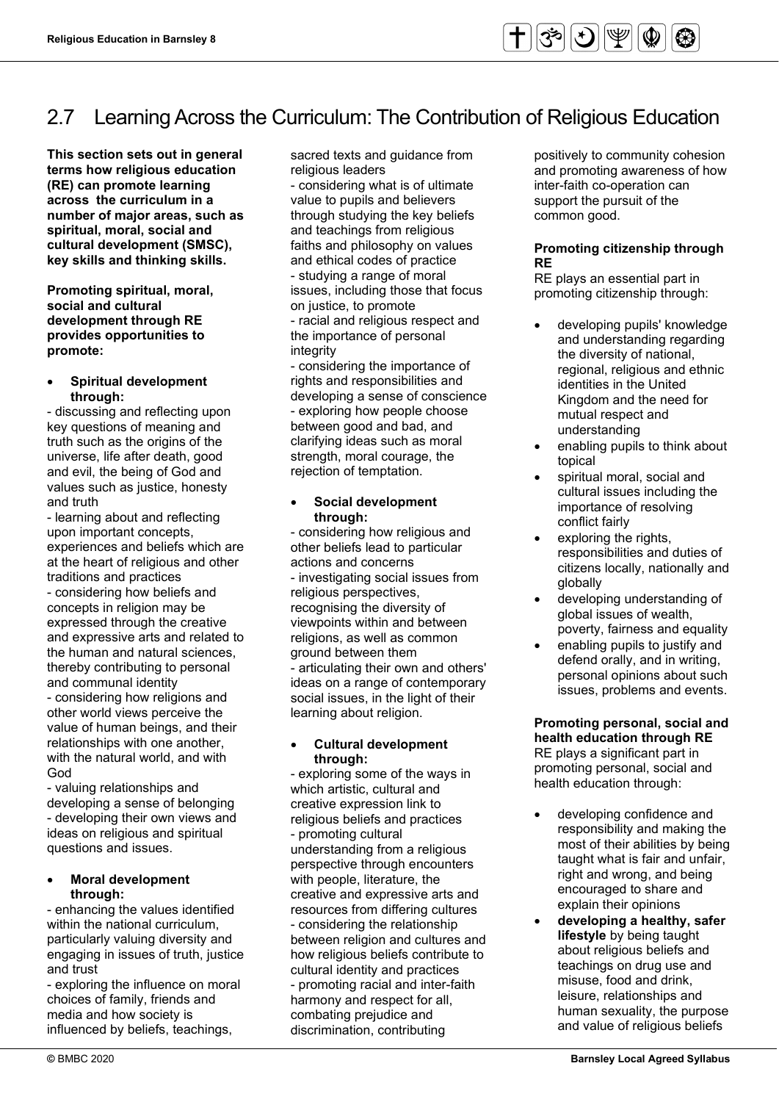# 2.7 Learning Across the Curriculum: The Contribution of Religious Education

 **terms how religious education This section sets out in general (RE) can promote learning across the curriculum in a number of major areas, such as spiritual, moral, social and cultural development (SMSC), key skills and thinking skills.** 

**Promoting spiritual, moral, social and cultural development through RE provides opportunities to promote:** 

• **Spiritual development through:** 

- discussing and reflecting upon key questions of meaning and truth such as the origins of the universe, life after death, good and evil, the being of God and values such as justice, honesty and truth

 concepts in religion may be - learning about and reflecting upon important concepts, experiences and beliefs which are at the heart of religious and other traditions and practices - considering how beliefs and expressed through the creative and expressive arts and related to the human and natural sciences, thereby contributing to personal and communal identity

- considering how religions and other world views perceive the value of human beings, and their relationships with one another, with the natural world, and with God

- valuing relationships and developing a sense of belonging - developing their own views and ideas on religious and spiritual questions and issues.

### • **Moral development through:**

 engaging in issues of truth, justice - enhancing the values identified within the national curriculum, particularly valuing diversity and and trust

- exploring the influence on moral choices of family, friends and media and how society is influenced by beliefs, teachings,

sacred texts and guidance from religious leaders

 - considering what is of ultimate through studying the key beliefs faiths and philosophy on values the importance of personal value to pupils and believers and teachings from religious and ethical codes of practice - studying a range of moral issues, including those that focus on justice, to promote - racial and religious respect and integrity

- considering the importance of rights and responsibilities and developing a sense of conscience - exploring how people choose between good and bad, and clarifying ideas such as moral strength, moral courage, the rejection of temptation.

#### • **Social development through:**

 social issues, in the light of their - considering how religious and other beliefs lead to particular actions and concerns - investigating social issues from religious perspectives, recognising the diversity of viewpoints within and between religions, as well as common ground between them - articulating their own and others' ideas on a range of contemporary learning about religion.

#### • **Cultural development through:**

- exploring some of the ways in which artistic, cultural and creative expression link to religious beliefs and practices - promoting cultural understanding from a religious perspective through encounters with people, literature, the creative and expressive arts and resources from differing cultures - considering the relationship between religion and cultures and how religious beliefs contribute to cultural identity and practices - promoting racial and inter-faith harmony and respect for all, combating prejudice and discrimination, contributing

positively to community cohesion and promoting awareness of how inter-faith co-operation can support the pursuit of the common good.

# **Promoting citizenship through RE**

RE plays an essential part in promoting citizenship through:

- the diversity of national, • developing pupils' knowledge and understanding regarding regional, religious and ethnic identities in the United Kingdom and the need for mutual respect and understanding
- enabling pupils to think about topical
- spiritual moral, social and cultural issues including the importance of resolving conflict fairly
- exploring the rights, responsibilities and duties of citizens locally, nationally and globally
- developing understanding of global issues of wealth, poverty, fairness and equality
- enabling pupils to justify and defend orally, and in writing, personal opinions about such issues, problems and events.

 **Promoting personal, social and health education through RE** RE plays a significant part in promoting personal, social and health education through:

- taught what is fair and unfair, • developing confidence and responsibility and making the most of their abilities by being right and wrong, and being encouraged to share and explain their opinions
- **developing a healthy, safer lifestyle** by being taught about religious beliefs and teachings on drug use and misuse, food and drink, leisure, relationships and human sexuality, the purpose and value of religious beliefs